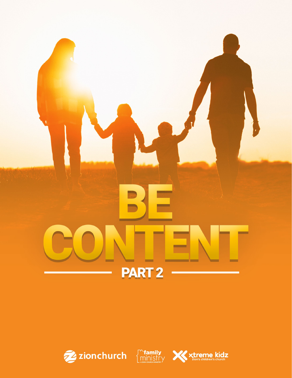